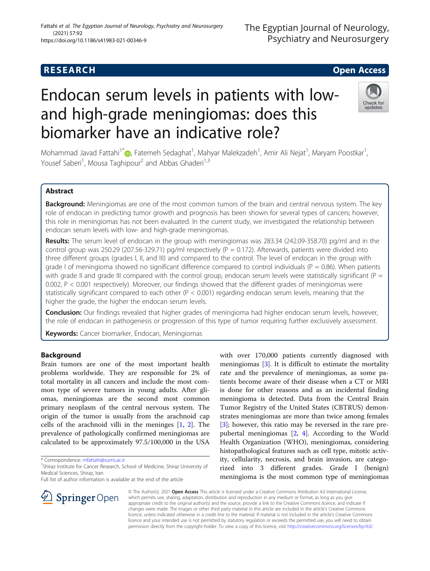# Endocan serum levels in patients with lowand high-grade meningiomas: does this biomarker have an indicative role?

Mohammad Javad Fattahi<sup>1[\\*](http://orcid.org/0000-0002-5007-242X)</sup>@, Fatemeh Sedaghat<sup>1</sup>, Mahyar Malekzadeh<sup>1</sup>, Amir Ali Nejat<sup>1</sup>, Maryam Poostkar<sup>1</sup> , Yousef Saberi<sup>1</sup>, Mousa Taghipour<sup>2</sup> and Abbas Ghaderi<sup>1,3</sup>

## Abstract

Background: Meningiomas are one of the most common tumors of the brain and central nervous system. The key role of endocan in predicting tumor growth and prognosis has been shown for several types of cancers; however, this role in meningiomas has not been evaluated. In the current study, we investigated the relationship between endocan serum levels with low- and high-grade meningiomas.

Results: The serum level of endocan in the group with meningiomas was 283.34 (242.09-358.70) pg/ml and in the control group was 250.29 (207.56-329.71) pg/ml respectively ( $P = 0.172$ ). Afterwards, patients were divided into three different groups (grades I, II, and III) and compared to the control. The level of endocan in the group with grade I of meningioma showed no significant difference compared to control individuals ( $P = 0.86$ ). When patients with grade II and grade III compared with the control group, endocan serum levels were statistically significant ( $P =$ 0.002, P < 0.001 respectively). Moreover, our findings showed that the different grades of meningiomas were statistically significant compared to each other ( $P < 0.001$ ) regarding endocan serum levels, meaning that the higher the grade, the higher the endocan serum levels.

Conclusion: Our findings revealed that higher grades of meningioma had higher endocan serum levels, however, the role of endocan in pathogenesis or progression of this type of tumor requiring further exclusively assessment.

Keywords: Cancer biomarker, Endocan, Meningiomas

## Background

Brain tumors are one of the most important health problems worldwide. They are responsible for 2% of total mortality in all cancers and include the most common type of severe tumors in young adults. After gliomas, meningiomas are the second most common primary neoplasm of the central nervous system. The origin of the tumor is usually from the arachnoid cap cells of the arachnoid villi in the meninges [\[1](#page-5-0), [2\]](#page-5-0). The prevalence of pathologically confirmed meningiomas are calculated to be approximately 97.5/100,000 in the USA

\* Correspondence: [mfattahi@sums.ac.ir](mailto:mfattahi@sums.ac.ir) <sup>1</sup>

SpringerOpen

Full list of author information is available at the end of the article

The Egyptian Journal of Neurology, Psychiatry and Neurosurgery

© The Author(s). 2021 Open Access This article is licensed under a Creative Commons Attribution 4.0 International License, which permits use, sharing, adaptation, distribution and reproduction in any medium or format, as long as you give appropriate credit to the original author(s) and the source, provide a link to the Creative Commons licence, and indicate if changes were made. The images or other third party material in this article are included in the article's Creative Commons licence, unless indicated otherwise in a credit line to the material. If material is not included in the article's Creative Commons licence and your intended use is not permitted by statutory regulation or exceeds the permitted use, you will need to obtain permission directly from the copyright holder. To view a copy of this licence, visit <http://creativecommons.org/licenses/by/4.0/>.

with over 170,000 patients currently diagnosed with meningiomas [\[3](#page-5-0)]. It is difficult to estimate the mortality rate and the prevalence of meningiomas, as some patients become aware of their disease when a CT or MRI is done for other reasons and as an incidental finding meningioma is detected. Data from the Central Brain Tumor Registry of the United States (CBTRUS) demonstrates meningiomas are more than twice among females [[3\]](#page-5-0); however, this ratio may be reversed in the rare prepubertal meningiomas [\[2](#page-5-0), [4](#page-5-0)]. According to the World Health Organization (WHO), meningiomas, considering histopathological features such as cell type, mitotic activity, cellularity, necrosis, and brain invasion, are categorized into 3 different grades. Grade I (benign) meningioma is the most common type of meningiomas



## Fattahi et al. The Egyptian Journal of Neurology, Psychiatry and Neurosurgery (2021) 57:92 https://doi.org/10.1186/s41983-021-00346-9



<sup>&</sup>lt;sup>1</sup>Shiraz Institute for Cancer Research, School of Medicine, Shiraz University of Medical Sciences, Shiraz, Iran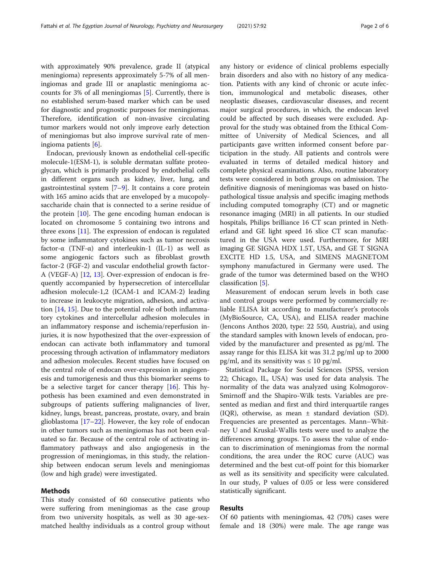with approximately 90% prevalence, grade II (atypical meningioma) represents approximately 5-7% of all meningiomas and grade III or anaplastic meningioma accounts for 3% of all meningiomas [[5\]](#page-5-0). Currently, there is no established serum-based marker which can be used for diagnostic and prognostic purposes for meningiomas. Therefore, identification of non-invasive circulating tumor markers would not only improve early detection of meningiomas but also improve survival rate of meningioma patients [[6\]](#page-5-0).

Endocan, previously known as endothelial cell-specific molecule-1(ESM-1), is soluble dermatan sulfate proteoglycan, which is primarily produced by endothelial cells in different organs such as kidney, liver, lung, and gastrointestinal system [[7](#page-5-0)–[9](#page-5-0)]. It contains a core protein with 165 amino acids that are enveloped by a mucopolysaccharide chain that is connected to a serine residue of the protein [\[10\]](#page-5-0). The gene encoding human endocan is located on chromosome 5 containing two introns and three exons  $[11]$  $[11]$  $[11]$ . The expression of endocan is regulated by some inflammatory cytokines such as tumor necrosis factor- $\alpha$  (TNF- $\alpha$ ) and interleukin-1 (IL-1) as well as some angiogenic factors such as fibroblast growth factor-2 (FGF-2) and vascular endothelial growth factor-A (VEGF-A) [[12](#page-5-0), [13](#page-5-0)]. Over-expression of endocan is frequently accompanied by hypersecretion of intercellular adhesion molecule-1,2 (ICAM-1 and ICAM-2) leading to increase in leukocyte migration, adhesion, and activation [[14,](#page-5-0) [15\]](#page-5-0). Due to the potential role of both inflammatory cytokines and intercellular adhesion molecules in an inflammatory response and ischemia/reperfusion injuries, it is now hypothesized that the over-expression of endocan can activate both inflammatory and tumoral processing through activation of inflammatory mediators and adhesion molecules. Recent studies have focused on the central role of endocan over-expression in angiogenesis and tumorigenesis and thus this biomarker seems to be a selective target for cancer therapy  $[16]$  $[16]$ . This hypothesis has been examined and even demonstrated in subgroups of patients suffering malignancies of liver, kidney, lungs, breast, pancreas, prostate, ovary, and brain glioblastoma [\[17](#page-5-0)–[22\]](#page-5-0). However, the key role of endocan in other tumors such as meningiomas has not been evaluated so far. Because of the central role of activating inflammatory pathways and also angiogenesis in the progression of meningiomas, in this study, the relationship between endocan serum levels and meningiomas (low and high grade) were investigated.

## Methods

This study consisted of 60 consecutive patients who were suffering from meningiomas as the case group from two university hospitals, as well as 30 age-sexmatched healthy individuals as a control group without any history or evidence of clinical problems especially brain disorders and also with no history of any medication. Patients with any kind of chronic or acute infection, immunological and metabolic diseases, other neoplastic diseases, cardiovascular diseases, and recent major surgical procedures, in which, the endocan level could be affected by such diseases were excluded. Approval for the study was obtained from the Ethical Committee of University of Medical Sciences, and all participants gave written informed consent before participation in the study. All patients and controls were evaluated in terms of detailed medical history and complete physical examinations. Also, routine laboratory tests were considered in both groups on admission. The definitive diagnosis of meningiomas was based on histopathological tissue analysis and specific imaging methods including computed tomography (CT) and or magnetic resonance imaging (MRI) in all patients. In our studied hospitals, Philips brilliance 16 CT scan printed in Netherland and GE light speed 16 slice CT scan manufactured in the USA were used. Furthermore, for MRI imaging GE SIGNA HDX 1.5T, USA, and GE T SIGNA EXCITE HD 1.5, USA, and SIMENS MAGNETOM symphony manufactured in Germany were used. The grade of the tumor was determined based on the WHO classification [[5\]](#page-5-0).

Measurement of endocan serum levels in both case and control groups were performed by commercially reliable ELISA kit according to manufacturer's protocols (MyBioSource, CA, USA), and ELISA reader machine (Jencons Anthos 2020, type: 22 550, Austria), and using the standard samples with known levels of endocan, provided by the manufacturer and presented as pg/ml. The assay range for this ELISA kit was 31.2 pg/ml up to 2000 pg/ml, and its sensitivity was  $\leq 10$  pg/ml.

Statistical Package for Social Sciences (SPSS, version 22; Chicago, IL, USA) was used for data analysis. The normality of the data was analyzed using Kolmogorov-Smirnoff and the Shapiro-Wilk tests. Variables are presented as median and first and third interquartile ranges (IQR), otherwise, as mean ± standard deviation (SD). Frequencies are presented as percentages. Mann–Whitney U and Kruskal-Wallis tests were used to analyze the differences among groups. To assess the value of endocan to discrimination of meningiomas from the normal conditions, the area under the ROC curve (AUC) was determined and the best cut-off point for this biomarker as well as its sensitivity and specificity were calculated. In our study, P values of 0.05 or less were considered statistically significant.

## Results

Of 60 patients with meningiomas, 42 (70%) cases were female and 18 (30%) were male. The age range was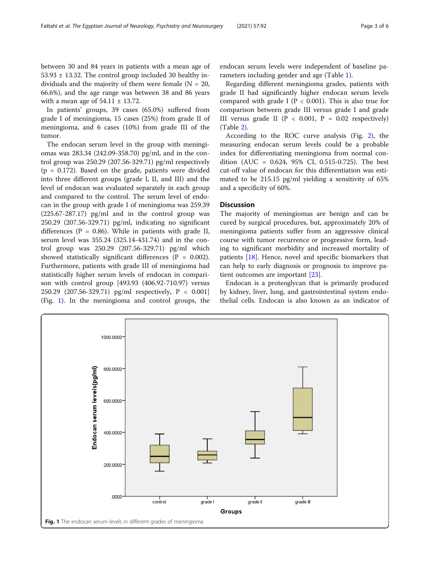between 30 and 84 years in patients with a mean age of  $53.93 \pm 13.32$ . The control group included 30 healthy individuals and the majority of them were female  $(N = 20,$ 66.6%), and the age range was between 38 and 86 years with a mean age of  $54.11 \pm 13.72$ .

In patients' groups, 39 cases (65.0%) suffered from grade I of meningioma, 15 cases (25%) from grade II of meningioma, and 6 cases (10%) from grade III of the tumor.

The endocan serum level in the group with meningiomas was 283.34 (242.09-358.70) pg/ml, and in the control group was 250.29 (207.56-329.71) pg/ml respectively  $(p = 0.172)$ . Based on the grade, patients were divided into three different groups (grade I, II, and III) and the level of endocan was evaluated separately in each group and compared to the control. The serum level of endocan in the group with grade I of meningioma was 259.39 (225.67-287.17) pg/ml and in the control group was 250.29 (207.56-329.71) pg/ml, indicating no significant differences ( $P = 0.86$ ). While in patients with grade II, serum level was 355.24 (325.14-431.74) and in the control group was 250.29 (207.56-329.71) pg/ml which showed statistically significant differences  $(P = 0.002)$ . Furthermore, patients with grade III of meningioma had statistically higher serum levels of endocan in comparison with control group [493.93 (406.92-710.97) versus 250.29 (207.56-329.71) pg/ml respectively, P < 0.001] (Fig. 1). In the meningioma and control groups, the

endocan serum levels were independent of baseline parameters including gender and age (Table [1\)](#page-3-0).

Regarding different meningioma grades, patients with grade II had significantly higher endocan serum levels compared with grade I ( $P < 0.001$ ). This is also true for comparison between grade III versus grade I and grade III versus grade II ( $P < 0.001$ ,  $P = 0.02$  respectively) (Table [2\)](#page-3-0).

According to the ROC curve analysis (Fig. [2](#page-4-0)), the measuring endocan serum levels could be a probable index for differentiating meningioma from normal condition (AUC = 0.624, 95% CI, 0.515-0.725). The best cut-off value of endocan for this differentiation was estimated to be 215.15 pg/ml yielding a sensitivity of 65% and a specificity of 60%.

## **Discussion**

The majority of meningiomas are benign and can be cured by surgical procedures, but, approximately 20% of meningioma patients suffer from an aggressive clinical course with tumor recurrence or progressive form, leading to significant morbidity and increased mortality of patients [[18\]](#page-5-0). Hence, novel and specific biomarkers that can help to early diagnosis or prognosis to improve patient outcomes are important [\[23](#page-5-0)].

Endocan is a proteoglycan that is primarily produced by kidney, liver, lung, and gastrointestinal system endothelial cells. Endocan is also known as an indicator of

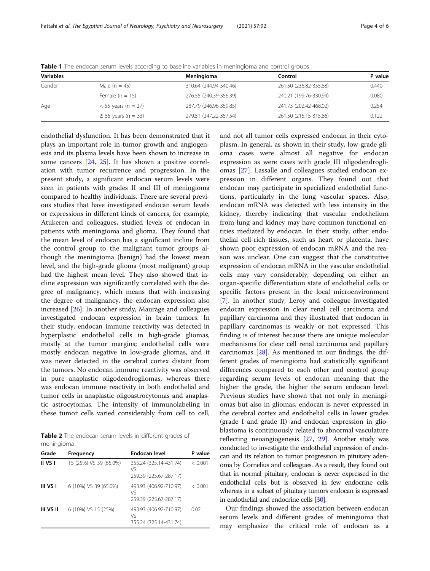| <b>Variables</b> |                          | Meningioma             | Control                | P value |
|------------------|--------------------------|------------------------|------------------------|---------|
| Gender           | Male $(n = 45)$          | 310.64 (244.94-540.46) | 261.50 (236.82-355.88) | 0.440   |
|                  | Female $(n = 15)$        | 276.55 (240.39-356.39) | 240.21 (199.76-330.94) | 0.080   |
| Age              | $<$ 55 years (n = 27)    | 287.79 (246.96-359.85) | 241.73 (202.42-468.02) | 0.254   |
|                  | $\geq$ 55 years (n = 33) | 279.51 (247.22-357.54) | 261.50 (215.15-315.86) | 0.122   |

<span id="page-3-0"></span>Table 1 The endocan serum levels according to baseline variables in meningioma and control groups

endothelial dysfunction. It has been demonstrated that it plays an important role in tumor growth and angiogenesis and its plasma levels have been shown to increase in some cancers [\[24,](#page-5-0) [25\]](#page-5-0). It has shown a positive correlation with tumor recurrence and progression. In the present study, a significant endocan serum levels were seen in patients with grades II and III of meningioma compared to healthy individuals. There are several previous studies that have investigated endocan serum levels or expressions in different kinds of cancers, for example, Atukeren and colleagues, studied levels of endocan in patients with meningioma and glioma. They found that the mean level of endocan has a significant incline from the control group to the malignant tumor groups although the meningioma (benign) had the lowest mean level, and the high-grade glioma (most malignant) group had the highest mean level. They also showed that incline expression was significantly correlated with the degree of malignancy, which means that with increasing the degree of malignancy, the endocan expression also increased [\[26\]](#page-5-0). In another study, Maurage and colleagues investigated endocan expression in brain tumors. In their study, endocan immune reactivity was detected in hyperplastic endothelial cells in high-grade gliomas, mostly at the tumor margins; endothelial cells were mostly endocan negative in low-grade gliomas, and it was never detected in the cerebral cortex distant from the tumors. No endocan immune reactivity was observed in pure anaplastic oligodendrogliomas, whereas there was endocan immune reactivity in both endothelial and tumor cells in anaplastic oligoastrocytomas and anaplastic astrocytomas. The intensity of immunolabeling in these tumor cells varied considerably from cell to cell,

Table 2 The endocan serum levels in different grades of meningioma

| Grade     | Frequency              | Endocan level                                          | P value |
|-----------|------------------------|--------------------------------------------------------|---------|
| II VS I   | 15 (25%) VS 39 (65.0%) | 355.24 (325.14-431.74)<br>VS<br>259.39 (225.67-287.17) | < 0.001 |
| III VS I  | 6 (10%) VS 39 (65.0%)  | 493.93 (406.92-710.97)<br>Vς<br>259.39 (225.67-287.17) | < 0.001 |
| III VS II | 6 (10%) VS 15 (25%)    | 493.93 (406.92-710.97)<br>Vς<br>355.24 (325.14-431.74) | 0.02    |

and not all tumor cells expressed endocan in their cytoplasm. In general, as shown in their study, low-grade glioma cases were almost all negative for endocan expression as were cases with grade III oligodendrogliomas [[27](#page-5-0)]. Lassalle and colleagues studied endocan expression in different organs. They found out that endocan may participate in specialized endothelial functions, particularly in the lung vascular spaces. Also, endocan mRNA was detected with less intensity in the kidney, thereby indicating that vascular endothelium from lung and kidney may have common functional entities mediated by endocan. In their study, other endothelial cell-rich tissues, such as heart or placenta, have shown poor expression of endocan mRNA and the reason was unclear. One can suggest that the constitutive expression of endocan mRNA in the vascular endothelial cells may vary considerably, depending on either an organ-specific differentiation state of endothelial cells or specific factors present in the local microenvironment [[7\]](#page-5-0). In another study, Leroy and colleague investigated endocan expression in clear renal cell carcinoma and papillary carcinoma and they illustrated that endocan in papillary carcinomas is weakly or not expressed. This finding is of interest because there are unique molecular mechanisms for clear cell renal carcinoma and papillary carcinomas [\[28\]](#page-5-0). As mentioned in our findings, the different grades of meningioma had statistically significant differences compared to each other and control group regarding serum levels of endocan meaning that the higher the grade, the higher the serum endocan level. Previous studies have shown that not only in meningiomas but also in gliomas, endocan is never expressed in the cerebral cortex and endothelial cells in lower grades (grade I and grade II) and endocan expression in glioblastoma is continuously related to abnormal vasculature reflecting neoangiogenesis [\[27](#page-5-0), [29](#page-5-0)]. Another study was conducted to investigate the endothelial expression of endocan and its relation to tumor progression in pituitary adenoma by Cornelius and colleagues. As a result, they found out that in normal pituitary, endocan is never expressed in the endothelial cells but is observed in few endocrine cells whereas in a subset of pituitary tumors endocan is expressed in endothelial and endocrine cells [[30\]](#page-5-0).

Our findings showed the association between endocan serum levels and different grades of meningioma that may emphasize the critical role of endocan as a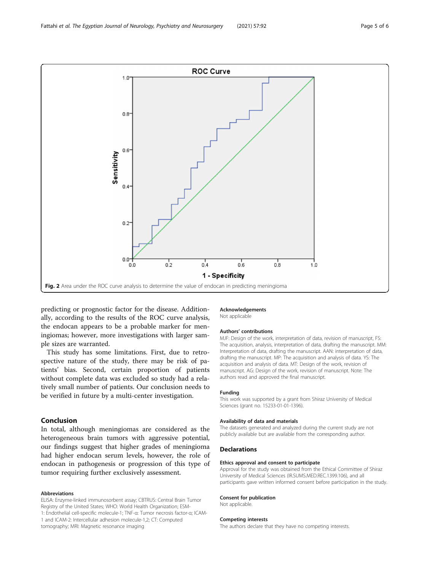<span id="page-4-0"></span>

predicting or prognostic factor for the disease. Additionally, according to the results of the ROC curve analysis, the endocan appears to be a probable marker for meningiomas; however, more investigations with larger sample sizes are warranted.

This study has some limitations. First, due to retrospective nature of the study, there may be risk of patients' bias. Second, certain proportion of patients without complete data was excluded so study had a relatively small number of patients. Our conclusion needs to be verified in future by a multi-center investigation.

## Conclusion

In total, although meningiomas are considered as the heterogeneous brain tumors with aggressive potential, our findings suggest that higher grades of meningioma had higher endocan serum levels, however, the role of endocan in pathogenesis or progression of this type of tumor requiring further exclusively assessment.

#### Abbreviations

ELISA: Enzyme-linked immunosorbent assay; CBTRUS: Central Brain Tumor Registry of the United States; WHO: World Health Organization; ESM-1: Endothelial cell-specific molecule-1; TNF-α: Tumor necrosis factor-α; ICAM-1 and ICAM-2: Intercellular adhesion molecule-1,2; CT: Computed tomography; MRI: Magnetic resonance imaging

# Acknowledgements

Not applicable

#### Authors' contributions

MJF: Design of the work, interpretation of data, revision of manuscript, FS: The acquisition, analysis, interpretation of data, drafting the manuscript. MM: Interpretation of data, drafting the manuscript. AAN: interpretation of data, drafting the manuscript. MP: The acquisition and analysis of data. YS: The acquisition and analysis of data. MT: Design of the work, revision of manuscript. AG: Design of the work, revision of manuscript. Note: The authors read and approved the final manuscript.

#### Funding

This work was supported by a grant from Shiraz University of Medical Sciences (grant no. 15233-01-01-1396).

#### Availability of data and materials

The datasets generated and analyzed during the current study are not publicly available but are available from the corresponding author.

#### Declarations

#### Ethics approval and consent to participate

Approval for the study was obtained from the Ethical Committee of Shiraz University of Medical Sciences (IR.SUMS.MED.REC.1399.106), and all participants gave written informed consent before participation in the study.

#### Consent for publication

Not applicable.

#### Competing interests

The authors declare that they have no competing interests.